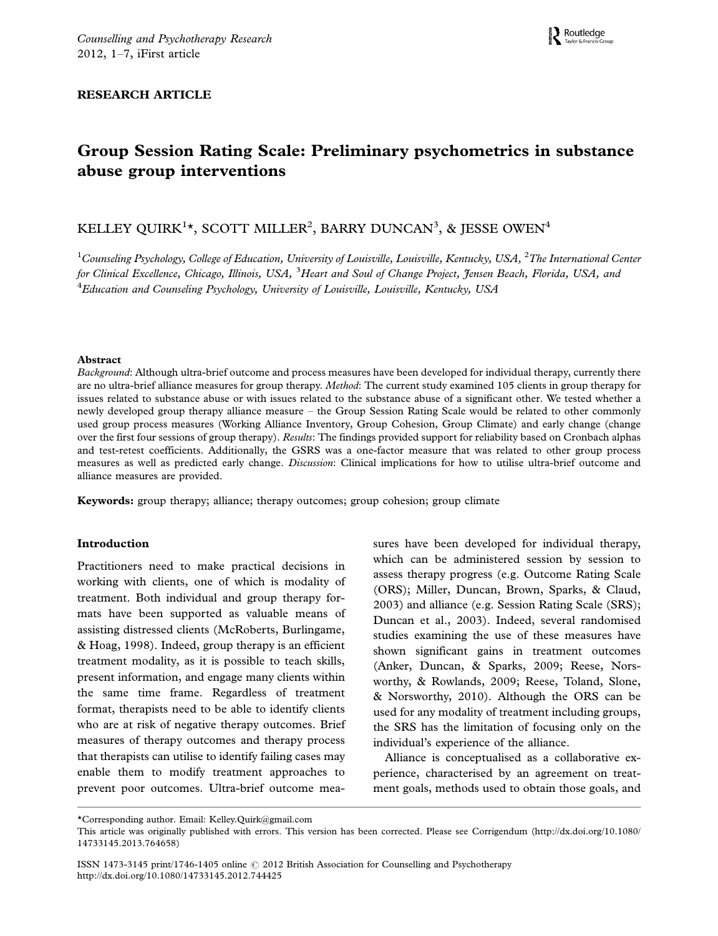## RESEARCH ARTICLE

# Group Session Rating Scale: Preliminary psychometrics in substance abuse group interventions

## KELLEY QUIRK<sup>1</sup>\*, SCOTT MILLER<sup>2</sup>, BARRY DUNCAN<sup>3</sup>, & JESSE OWEN<sup>4</sup>

 $^1$ Counseling Psychology, College of Education, University of Louisville, Louisville, Kentucky, USA,  $^2$ The International Center for Clinical Excellence, Chicago, Illinois, USA, <sup>3</sup>Heart and Soul of Change Project, Jensen Beach, Florida, USA, and  ${}^{4}$ Education and Counseling Psychology, University of Louisville, Louisville, Kentucky, USA

#### Abstract

Background: Although ultra-brief outcome and process measures have been developed for individual therapy, currently there are no ultra-brief alliance measures for group therapy. Method: The current study examined 105 clients in group therapy for issues related to substance abuse or with issues related to the substance abuse of a significant other. We tested whether a newly developed group therapy alliance measure – the Group Session Rating Scale would be related to other commonly used group process measures (Working Alliance Inventory, Group Cohesion, Group Climate) and early change (change over the first four sessions of group therapy). Results: The findings provided support for reliability based on Cronbach alphas and test-retest coefficients. Additionally, the GSRS was a one-factor measure that was related to other group process measures as well as predicted early change. Discussion: Clinical implications for how to utilise ultra-brief outcome and alliance measures are provided.

Keywords: group therapy; alliance; therapy outcomes; group cohesion; group climate

## Introduction

Practitioners need to make practical decisions in working with clients, one of which is modality of treatment. Both individual and group therapy formats have been supported as valuable means of assisting distressed clients (McRoberts, Burlingame, & Hoag, 1998). Indeed, group therapy is an efficient treatment modality, as it is possible to teach skills, present information, and engage many clients within the same time frame. Regardless of treatment format, therapists need to be able to identify clients who are at risk of negative therapy outcomes. Brief measures of therapy outcomes and therapy process that therapists can utilise to identify failing cases may enable them to modify treatment approaches to prevent poor outcomes. Ultra-brief outcome mea-

sures have been developed for individual therapy, which can be administered session by session to assess therapy progress (e.g. Outcome Rating Scale (ORS); Miller, Duncan, Brown, Sparks, & Claud, 2003) and alliance (e.g. Session Rating Scale (SRS); Duncan et al., 2003). Indeed, several randomised studies examining the use of these measures have shown significant gains in treatment outcomes (Anker, Duncan, & Sparks, 2009; Reese, Norsworthy, & Rowlands, 2009; Reese, Toland, Slone, & Norsworthy, 2010). Although the ORS can be used for any modality of treatment including groups, the SRS has the limitation of focusing only on the individual's experience of the alliance.

Alliance is conceptualised as a collaborative experience, characterised by an agreement on treatment goals, methods used to obtain those goals, and

ISSN 1473-3145 print/1746-1405 online  $\oslash$  2012 British Association for Counselling and Psychotherapy <http://dx.doi.org/10.1080/14733145.2012.744425>

<sup>\*</sup>Corresponding author. Email: Kelley.Quirk@gmail.com

This article was originally published with errors. This version has been corrected. Please see Corrigendum ([http://dx.doi.org/10.1080/](http://dx.doi.org/10.1080/14733145.2013.764658) [14733145.2013.764658](http://dx.doi.org/10.1080/14733145.2013.764658))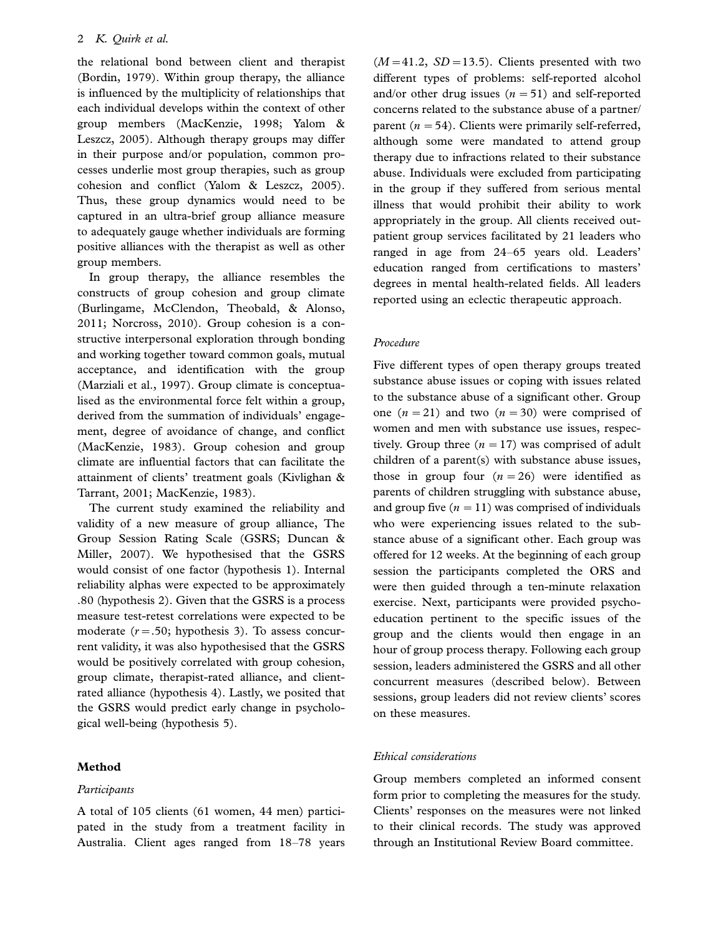the relational bond between client and therapist (Bordin, 1979). Within group therapy, the alliance is influenced by the multiplicity of relationships that each individual develops within the context of other group members (MacKenzie, 1998; Yalom & Leszcz, 2005). Although therapy groups may differ in their purpose and/or population, common processes underlie most group therapies, such as group cohesion and conflict (Yalom & Leszcz, 2005). Thus, these group dynamics would need to be captured in an ultra-brief group alliance measure to adequately gauge whether individuals are forming positive alliances with the therapist as well as other group members.

In group therapy, the alliance resembles the constructs of group cohesion and group climate (Burlingame, McClendon, Theobald, & Alonso, 2011; Norcross, 2010). Group cohesion is a constructive interpersonal exploration through bonding and working together toward common goals, mutual acceptance, and identification with the group (Marziali et al., 1997). Group climate is conceptualised as the environmental force felt within a group, derived from the summation of individuals' engagement, degree of avoidance of change, and conflict (MacKenzie, 1983). Group cohesion and group climate are influential factors that can facilitate the attainment of clients' treatment goals (Kivlighan & Tarrant, 2001; MacKenzie, 1983).

The current study examined the reliability and validity of a new measure of group alliance, The Group Session Rating Scale (GSRS; Duncan & Miller, 2007). We hypothesised that the GSRS would consist of one factor (hypothesis 1). Internal reliability alphas were expected to be approximately .80 (hypothesis 2). Given that the GSRS is a process measure test-retest correlations were expected to be moderate  $(r = .50;$  hypothesis 3). To assess concurrent validity, it was also hypothesised that the GSRS would be positively correlated with group cohesion, group climate, therapist-rated alliance, and clientrated alliance (hypothesis 4). Lastly, we posited that the GSRS would predict early change in psychological well-being (hypothesis 5).

## Method

## Participants

A total of 105 clients (61 women, 44 men) participated in the study from a treatment facility in Australia. Client ages ranged from 18-78 years

 $(M=41.2, SD=13.5)$ . Clients presented with two different types of problems: self-reported alcohol and/or other drug issues  $(n = 51)$  and self-reported concerns related to the substance abuse of a partner/ parent ( $n = 54$ ). Clients were primarily self-referred, although some were mandated to attend group therapy due to infractions related to their substance abuse. Individuals were excluded from participating in the group if they suffered from serious mental illness that would prohibit their ability to work appropriately in the group. All clients received outpatient group services facilitated by 21 leaders who ranged in age from 24–65 years old. Leaders' education ranged from certifications to masters' degrees in mental health-related fields. All leaders reported using an eclectic therapeutic approach.

## Procedure

Five different types of open therapy groups treated substance abuse issues or coping with issues related to the substance abuse of a significant other. Group one  $(n = 21)$  and two  $(n = 30)$  were comprised of women and men with substance use issues, respectively. Group three  $(n = 17)$  was comprised of adult children of a parent(s) with substance abuse issues, those in group four  $(n = 26)$  were identified as parents of children struggling with substance abuse, and group five  $(n = 11)$  was comprised of individuals who were experiencing issues related to the substance abuse of a significant other. Each group was offered for 12 weeks. At the beginning of each group session the participants completed the ORS and were then guided through a ten-minute relaxation exercise. Next, participants were provided psychoeducation pertinent to the specific issues of the group and the clients would then engage in an hour of group process therapy. Following each group session, leaders administered the GSRS and all other concurrent measures (described below). Between sessions, group leaders did not review clients' scores on these measures.

## Ethical considerations

Group members completed an informed consent form prior to completing the measures for the study. Clients' responses on the measures were not linked to their clinical records. The study was approved through an Institutional Review Board committee.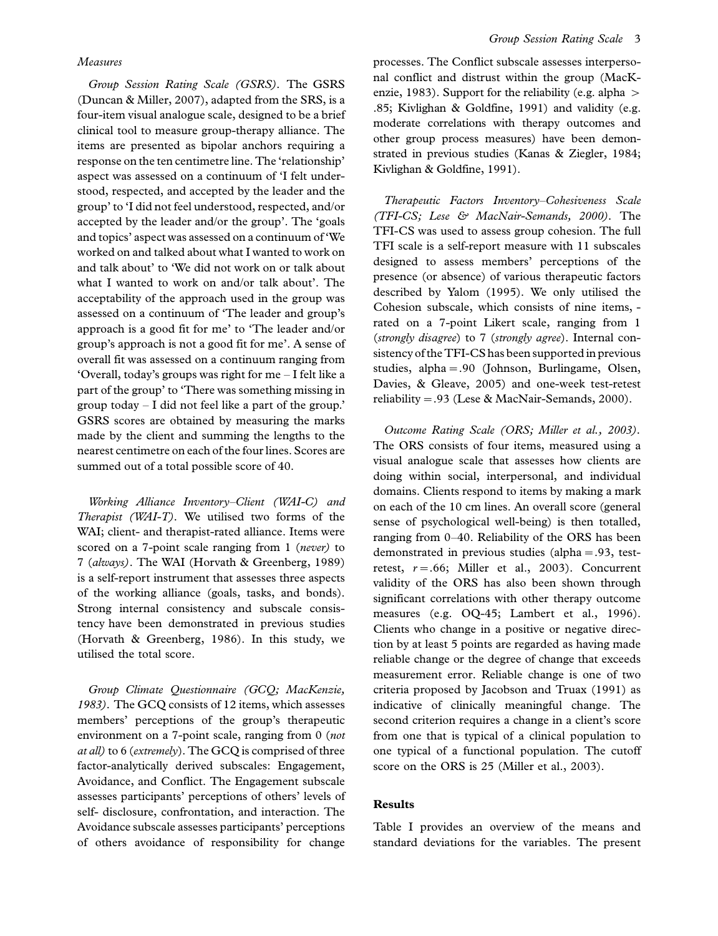#### Measures

Group Session Rating Scale (GSRS). The GSRS (Duncan & Miller, 2007), adapted from the SRS, is a four-item visual analogue scale, designed to be a brief clinical tool to measure group-therapy alliance. The items are presented as bipolar anchors requiring a response on the ten centimetre line. The 'relationship' aspect was assessed on a continuum of 'I felt understood, respected, and accepted by the leader and the group' to 'I did not feel understood, respected, and/or accepted by the leader and/or the group'. The 'goals and topics' aspect was assessed on a continuum of 'We worked on and talked about what I wanted to work on and talk about' to 'We did not work on or talk about what I wanted to work on and/or talk about'. The acceptability of the approach used in the group was assessed on a continuum of 'The leader and group's approach is a good fit for me' to 'The leader and/or group's approach is not a good fit for me'. A sense of overall fit was assessed on a continuum ranging from 'Overall, today's groups was right for me  $-I$  felt like a part of the group' to 'There was something missing in group today  $-$  I did not feel like a part of the group.' GSRS scores are obtained by measuring the marks made by the client and summing the lengths to the nearest centimetre on each of the four lines. Scores are summed out of a total possible score of 40.

Working Alliance Inventory–Client (WAI-C) and Therapist (WAI-T). We utilised two forms of the WAI; client- and therapist-rated alliance. Items were scored on a 7-point scale ranging from 1 (never) to 7 (always). The WAI (Horvath & Greenberg, 1989) is a self-report instrument that assesses three aspects of the working alliance (goals, tasks, and bonds). Strong internal consistency and subscale consistency have been demonstrated in previous studies (Horvath & Greenberg, 1986). In this study, we utilised the total score.

Group Climate Questionnaire (GCQ; MacKenzie, 1983). The GCQ consists of 12 items, which assesses members' perceptions of the group's therapeutic environment on a 7-point scale, ranging from 0 (*not*) at all) to 6 (extremely). The GCQ is comprised of three factor-analytically derived subscales: Engagement, Avoidance, and Conflict. The Engagement subscale assesses participants' perceptions of others' levels of self- disclosure, confrontation, and interaction. The Avoidance subscale assesses participants' perceptions of others avoidance of responsibility for change

processes. The Conflict subscale assesses interpersonal conflict and distrust within the group (MacKenzie, 1983). Support for the reliability (e.g. alpha  $>$ .85; Kivlighan & Goldfine, 1991) and validity (e.g. moderate correlations with therapy outcomes and other group process measures) have been demonstrated in previous studies (Kanas & Ziegler, 1984; Kivlighan & Goldfine, 1991).

Therapeutic Factors Inventory–Cohesiveness Scale (TFI-CS; Lese & MacNair-Semands, 2000). The TFI-CS was used to assess group cohesion. The full TFI scale is a self-report measure with 11 subscales designed to assess members' perceptions of the presence (or absence) of various therapeutic factors described by Yalom (1995). We only utilised the Cohesion subscale, which consists of nine items, rated on a 7-point Likert scale, ranging from 1 (strongly disagree) to 7 (strongly agree). Internal consistency of the TFI-CS has been supported in previous studies, alpha-.90 (Johnson, Burlingame, Olsen, Davies, & Gleave, 2005) and one-week test-retest reliability-.93 (Lese & MacNair-Semands, 2000).

Outcome Rating Scale (ORS; Miller et al., 2003). The ORS consists of four items, measured using a visual analogue scale that assesses how clients are doing within social, interpersonal, and individual domains. Clients respond to items by making a mark on each of the 10 cm lines. An overall score (general sense of psychological well-being) is then totalled, ranging from  $0-40$ . Reliability of the ORS has been demonstrated in previous studies (alpha-.93, testretest,  $r = .66$ ; Miller et al., 2003). Concurrent validity of the ORS has also been shown through significant correlations with other therapy outcome measures (e.g. OQ-45; Lambert et al., 1996). Clients who change in a positive or negative direction by at least 5 points are regarded as having made reliable change or the degree of change that exceeds measurement error. Reliable change is one of two criteria proposed by Jacobson and Truax (1991) as indicative of clinically meaningful change. The second criterion requires a change in a client's score from one that is typical of a clinical population to one typical of a functional population. The cutoff score on the ORS is 25 (Miller et al., 2003).

## Results

Table I provides an overview of the means and standard deviations for the variables. The present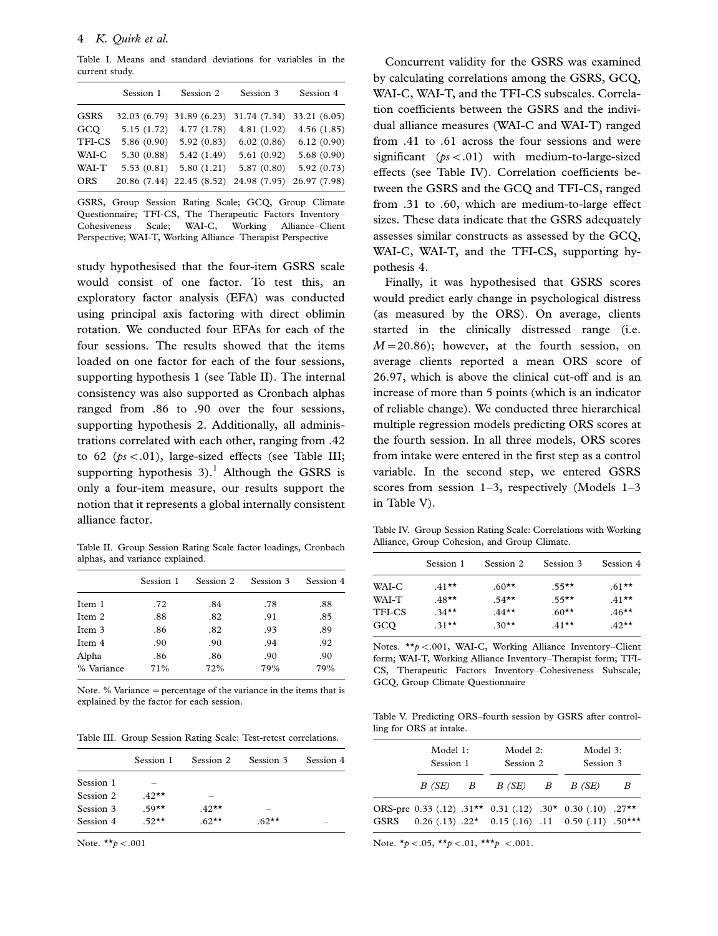Table I. Means and standard deviations for variables in the current study.

|               | Session 1  | Session 2   | Session 3                                           |             |
|---------------|------------|-------------|-----------------------------------------------------|-------------|
| <b>GSRS</b>   |            |             | 32.03 (6.79) 31.89 (6.23) 31.74 (7.34) 33.21 (6.05) |             |
| GCO           | 5.15(1.72) | 4.77 (1.78) | 4.81 (1.92)                                         | 4.56(1.85)  |
| <b>TFI-CS</b> | 5.86(0.90) | 5.92(0.83)  | 6.02(0.86)                                          | 6.12(0.90)  |
| WAI-C         | 5.30(0.88) | 5.42 (1.49) | 5.61(0.92)                                          | 5.68(0.90)  |
| WAI-T         | 5.53(0.81) | 5.80(1.21)  | 5.87(0.80)                                          | 5.92 (0.73) |
| <b>ORS</b>    |            |             | 20.86 (7.44) 22.45 (8.52) 24.98 (7.95) 26.97 (7.98) |             |

GSRS, Group Session Rating Scale; GCQ, Group Climate Questionnaire; TFI-CS, The Therapeutic Factors Inventory Cohesiveness Scale; WAI-C, Working Alliance-Client Perspective; WAI-T, Working Alliance–Therapist Perspective

study hypothesised that the four-item GSRS scale would consist of one factor. To test this, an exploratory factor analysis (EFA) was conducted using principal axis factoring with direct oblimin rotation. We conducted four EFAs for each of the four sessions. The results showed that the items loaded on one factor for each of the four sessions, supporting hypothesis 1 (see Table II). The internal consistency was also supported as Cronbach alphas ranged from .86 to .90 over the four sessions, supporting hypothesis 2. Additionally, all administrations correlated with each other, ranging from .42 to 62 ( $ps < .01$ ), large-sized effects (see Table III; supporting hypothesis  $3$ ).<sup>1</sup> Although the GSRS is only a four-item measure, our results support the notion that it represents a global internally consistent alliance factor.

Table II. Group Session Rating Scale factor loadings, Cronbach alphas, and variance explained.

|            | Session 1 | Session 2 | Session 3 | Session 4 |
|------------|-----------|-----------|-----------|-----------|
| Item 1     | .72       | .84       | .78       | .88       |
| Item 2     | .88       | .82       | .91       | .85       |
| Item 3     | .86       | .82       | .93       | .89       |
| Item 4     | .90       | .90       | .94       | .92       |
| Alpha      | .86       | .86       | .90       | .90       |
| % Variance | 71%       | 72%       | 79%       | 79%       |

Note. % Variance = percentage of the variance in the items that is explained by the factor for each session.

Table III. Group Session Rating Scale: Test-retest correlations.

|           | Session 1 | Session 2 | Session 3 | Session 4 |
|-----------|-----------|-----------|-----------|-----------|
| Session 1 |           |           |           |           |
| Session 2 | $.42**$   |           |           |           |
| Session 3 | $.59**$   | $.42***$  |           |           |
| Session 4 | $.52**$   | $.62**$   | $62**$    |           |

Note.  $**_D < .001$ 

Concurrent validity for the GSRS was examined by calculating correlations among the GSRS, GCQ, WAI-C, WAI-T, and the TFI-CS subscales. Correlation coefficients between the GSRS and the individual alliance measures (WAI-C and WAI-T) ranged from .41 to .61 across the four sessions and were significant ( $ps < .01$ ) with medium-to-large-sized effects (see Table IV). Correlation coefficients between the GSRS and the GCQ and TFI-CS, ranged from .31 to .60, which are medium-to-large effect sizes. These data indicate that the GSRS adequately assesses similar constructs as assessed by the GCQ, WAI-C, WAI-T, and the TFI-CS, supporting hypothesis 4.

Finally, it was hypothesised that GSRS scores would predict early change in psychological distress (as measured by the ORS). On average, clients started in the clinically distressed range (i.e.  $M = 20.86$ ; however, at the fourth session, on average clients reported a mean ORS score of 26.97, which is above the clinical cut-off and is an increase of more than 5 points (which is an indicator of reliable change). We conducted three hierarchical multiple regression models predicting ORS scores at the fourth session. In all three models, ORS scores from intake were entered in the first step as a control variable. In the second step, we entered GSRS scores from session 1-3, respectively (Models  $1-3$ in Table V).

Table IV. Group Session Rating Scale: Correlations with Working Alliance, Group Cohesion, and Group Climate.

|                      | Session 1            | Session 2           | Session 3           | Session 4           |  |
|----------------------|----------------------|---------------------|---------------------|---------------------|--|
| WAI-C                | $.41***$             | $.60**$             | $.55***$            | $.61**$             |  |
| WAI-T                | $.48**$              | $.54**$             | $.55***$            | $.41***$            |  |
| <b>TFI-CS</b><br>GCO | $.34***$<br>$.31***$ | $.44***$<br>$.30**$ | $.60**$<br>$.41***$ | $.46***$<br>$.42**$ |  |
|                      |                      |                     |                     |                     |  |

Notes. \*\* $p < 0.001$ , WAI-C, Working Alliance Inventory-Client form; WAI-T, Working Alliance Inventory-Therapist form; TFI-CS, Therapeutic Factors Inventory-Cohesiveness Subscale; GCQ, Group Climate Questionnaire

Table V. Predicting ORS-fourth session by GSRS after controlling for ORS at intake.

| Model 1:<br>Session 1 |  | Model 2:<br>Session 2                                                                                                      |  | Model 3:<br>Session 3 |   |
|-----------------------|--|----------------------------------------------------------------------------------------------------------------------------|--|-----------------------|---|
| $B(SE)$ $B$           |  | $B(SE)$ B                                                                                                                  |  | B (SE)                | B |
|                       |  | ORS-pre $0.33$ (.12) $.31**$ 0.31 (.12) $.30*$ 0.30 (.10) $.27**$<br>GSRS $0.26(.13).22*$ $0.15(.16).11$ $0.59(.11).50***$ |  |                       |   |

Note.  $*_p$  < 0.05,  $*_p$  < 0.01,  $**_p$  < 0.001.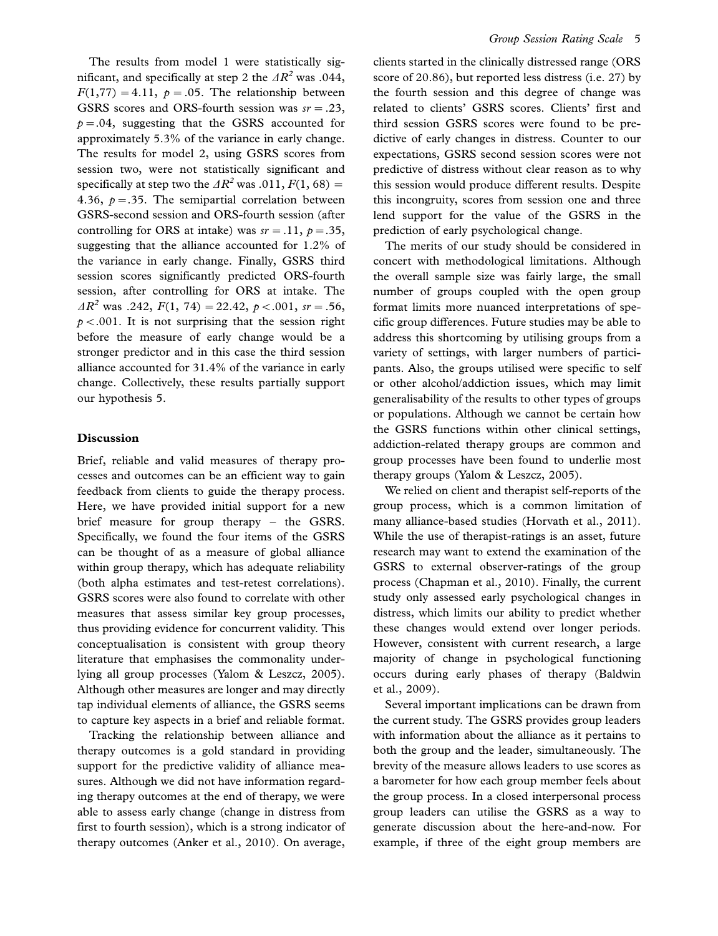The results from model 1 were statistically significant, and specifically at step 2 the  $AR^2$  was .044,  $F(1,77) = 4.11$ ,  $p = .05$ . The relationship between GSRS scores and ORS-fourth session was  $sr = .23$ ,  $p = 0.04$ , suggesting that the GSRS accounted for approximately 5.3% of the variance in early change. The results for model 2, using GSRS scores from session two, were not statistically significant and specifically at step two the  $\Delta R^2$  was .011,  $F(1, 68)$  = 4.36,  $p = 0.35$ . The semipartial correlation between GSRS-second session and ORS-fourth session (after controlling for ORS at intake) was  $sr = .11$ ,  $p = .35$ , suggesting that the alliance accounted for 1.2% of the variance in early change. Finally, GSRS third session scores significantly predicted ORS-fourth session, after controlling for ORS at intake. The  $\Delta R^2$  was .242,  $F(1, 74) = 22.42$ ,  $p < .001$ ,  $sr = .56$ ,  $p < .001$ . It is not surprising that the session right before the measure of early change would be a stronger predictor and in this case the third session alliance accounted for 31.4% of the variance in early change. Collectively, these results partially support our hypothesis 5.

#### Discussion

Brief, reliable and valid measures of therapy processes and outcomes can be an efficient way to gain feedback from clients to guide the therapy process. Here, we have provided initial support for a new brief measure for group therapy  $-$  the GSRS. Specifically, we found the four items of the GSRS can be thought of as a measure of global alliance within group therapy, which has adequate reliability (both alpha estimates and test-retest correlations). GSRS scores were also found to correlate with other measures that assess similar key group processes, thus providing evidence for concurrent validity. This conceptualisation is consistent with group theory literature that emphasises the commonality underlying all group processes (Yalom & Leszcz, 2005). Although other measures are longer and may directly tap individual elements of alliance, the GSRS seems to capture key aspects in a brief and reliable format.

Tracking the relationship between alliance and therapy outcomes is a gold standard in providing support for the predictive validity of alliance measures. Although we did not have information regarding therapy outcomes at the end of therapy, we were able to assess early change (change in distress from first to fourth session), which is a strong indicator of therapy outcomes (Anker et al., 2010). On average,

clients started in the clinically distressed range (ORS score of 20.86), but reported less distress (i.e. 27) by the fourth session and this degree of change was related to clients' GSRS scores. Clients' first and third session GSRS scores were found to be predictive of early changes in distress. Counter to our expectations, GSRS second session scores were not predictive of distress without clear reason as to why this session would produce different results. Despite this incongruity, scores from session one and three lend support for the value of the GSRS in the prediction of early psychological change.

The merits of our study should be considered in concert with methodological limitations. Although the overall sample size was fairly large, the small number of groups coupled with the open group format limits more nuanced interpretations of specific group differences. Future studies may be able to address this shortcoming by utilising groups from a variety of settings, with larger numbers of participants. Also, the groups utilised were specific to self or other alcohol/addiction issues, which may limit generalisability of the results to other types of groups or populations. Although we cannot be certain how the GSRS functions within other clinical settings, addiction-related therapy groups are common and group processes have been found to underlie most therapy groups (Yalom & Leszcz, 2005).

We relied on client and therapist self-reports of the group process, which is a common limitation of many alliance-based studies (Horvath et al., 2011). While the use of therapist-ratings is an asset, future research may want to extend the examination of the GSRS to external observer-ratings of the group process (Chapman et al., 2010). Finally, the current study only assessed early psychological changes in distress, which limits our ability to predict whether these changes would extend over longer periods. However, consistent with current research, a large majority of change in psychological functioning occurs during early phases of therapy (Baldwin et al., 2009).

Several important implications can be drawn from the current study. The GSRS provides group leaders with information about the alliance as it pertains to both the group and the leader, simultaneously. The brevity of the measure allows leaders to use scores as a barometer for how each group member feels about the group process. In a closed interpersonal process group leaders can utilise the GSRS as a way to generate discussion about the here-and-now. For example, if three of the eight group members are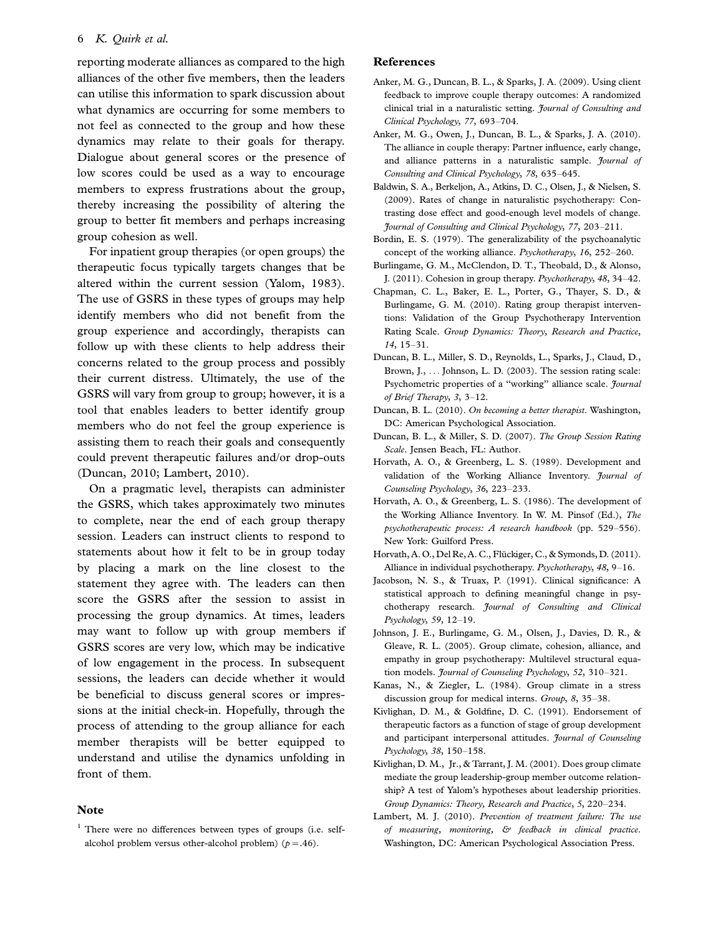reporting moderate alliances as compared to the high alliances of the other five members, then the leaders can utilise this information to spark discussion about what dynamics are occurring for some members to not feel as connected to the group and how these dynamics may relate to their goals for therapy. Dialogue about general scores or the presence of low scores could be used as a way to encourage members to express frustrations about the group, thereby increasing the possibility of altering the group to better fit members and perhaps increasing group cohesion as well.

For inpatient group therapies (or open groups) the therapeutic focus typically targets changes that be altered within the current session (Yalom, 1983). The use of GSRS in these types of groups may help identify members who did not benefit from the group experience and accordingly, therapists can follow up with these clients to help address their concerns related to the group process and possibly their current distress. Ultimately, the use of the GSRS will vary from group to group; however, it is a tool that enables leaders to better identify group members who do not feel the group experience is assisting them to reach their goals and consequently could prevent therapeutic failures and/or drop-outs (Duncan, 2010; Lambert, 2010).

On a pragmatic level, therapists can administer the GSRS, which takes approximately two minutes to complete, near the end of each group therapy session. Leaders can instruct clients to respond to statements about how it felt to be in group today by placing a mark on the line closest to the statement they agree with. The leaders can then score the GSRS after the session to assist in processing the group dynamics. At times, leaders may want to follow up with group members if GSRS scores are very low, which may be indicative of low engagement in the process. In subsequent sessions, the leaders can decide whether it would be beneficial to discuss general scores or impressions at the initial check-in. Hopefully, through the process of attending to the group alliance for each member therapists will be better equipped to understand and utilise the dynamics unfolding in front of them.

## Note

#### References

- Anker, M. G., Duncan, B. L., & Sparks, J. A. (2009). Using client feedback to improve couple therapy outcomes: A randomized clinical trial in a naturalistic setting. *Journal of Consulting and* Clinical Psychology, 77, 693-704.
- Anker, M. G., Owen, J., Duncan, B. L., & Sparks, J. A. (2010). The alliance in couple therapy: Partner influence, early change, and alliance patterns in a naturalistic sample. Journal of Consulting and Clinical Psychology, 78, 635-645.
- Baldwin, S. A., Berkeljon, A., Atkins, D. C., Olsen, J., & Nielsen, S. (2009). Rates of change in naturalistic psychotherapy: Contrasting dose effect and good-enough level models of change. Journal of Consulting and Clinical Psychology, 77, 203-211.
- Bordin, E. S. (1979). The generalizability of the psychoanalytic concept of the working alliance. Psychotherapy, 16, 252-260.
- Burlingame, G. M., McClendon, D. T., Theobald, D., & Alonso, J. (2011). Cohesion in group therapy. Psychotherapy, 48, 34-42.
- Chapman, C. L., Baker, E. L., Porter, G., Thayer, S. D., & Burlingame, G. M. (2010). Rating group therapist interventions: Validation of the Group Psychotherapy Intervention Rating Scale. Group Dynamics: Theory, Research and Practice,  $14, 15-31.$
- Duncan, B. L., Miller, S. D., Reynolds, L., Sparks, J., Claud, D., Brown, J., ... Johnson, L. D. (2003). The session rating scale: Psychometric properties of a "working" alliance scale. *Journal* of Brief Therapy,  $3, 3-12$ .
- Duncan, B. L. (2010). On becoming a better therapist. Washington, DC: American Psychological Association.
- Duncan, B. L., & Miller, S. D. (2007). The Group Session Rating Scale. Jensen Beach, FL: Author.
- Horvath, A. O., & Greenberg, L. S. (1989). Development and validation of the Working Alliance Inventory. Journal of Counseling Psychology, 36, 223-233.
- Horvath, A. O., & Greenberg, L. S. (1986). The development of the Working Alliance Inventory. In W. M. Pinsof (Ed.), The psychotherapeutic process:  $A$  research handbook (pp. 529–556). New York: Guilford Press.
- Horvath, A. O., Del Re, A. C., Flückiger, C., & Symonds, D. (2011). Alliance in individual psychotherapy. Psychotherapy,  $48, 9-16$ .
- Jacobson, N. S., & Truax, P. (1991). Clinical significance: A statistical approach to defining meaningful change in psychotherapy research. Journal of Consulting and Clinical  $P$ sychology, 59, 12-19.
- Johnson, J. E., Burlingame, G. M., Olsen, J., Davies, D. R., & Gleave, R. L. (2005). Group climate, cohesion, alliance, and empathy in group psychotherapy: Multilevel structural equation models. *Journal of Counseling Psychology*, 52, 310-321.
- Kanas, N., & Ziegler, L. (1984). Group climate in a stress discussion group for medical interns.  $Group, 8, 35-38.$
- Kivlighan, D. M., & Goldfine, D. C. (1991). Endorsement of therapeutic factors as a function of stage of group development and participant interpersonal attitudes. Journal of Counseling Psychology, 38, 150-158.
- Kivlighan, D. M., Jr., & Tarrant, J. M. (2001). Does group climate mediate the group leadership-group member outcome relationship? A test of Yalom's hypotheses about leadership priorities. Group Dynamics: Theory, Research and Practice, 5, 220-234.
- Lambert, M. J. (2010). Prevention of treatment failure: The use of measuring, monitoring, & feedback in clinical practice. Washington, DC: American Psychological Association Press.

 $1$  There were no differences between types of groups (i.e. selfalcohol problem versus other-alcohol problem)  $(p=.46)$ .